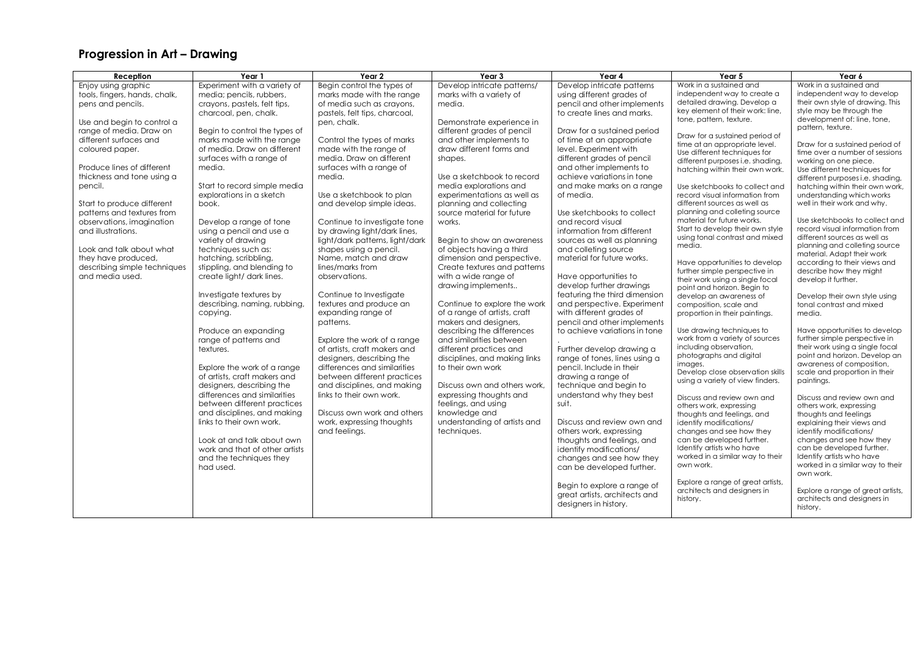## **Progression in Art – Drawing**

| Reception                                                                                                                                                                                                                                                                                                                                                                                                                                                                   | Year 1                                                                                                                                                                                                                                                                                                                                                                                                                                                                                                                                                                                                                                                                                                                                                                                                                                          | Year 2                                                                                                                                                                                                                                                                                                                                                                                                                                                                                                                                                                                                                                                                                                                                                                                                                                                          | Year 3                                                                                                                                                                                                                                                                                                                                                                                                                                                                                                                                                                                                                                                                                                                                                                                                                                                                | Year 4                                                                                                                                                                                                                                                                                                                                                                                                                                                                                                                                                                                                                                                                                                                                                                                                                                                                                                            | Year 5                                                                                                                                                                                                                                                                                                                                                                                                                                                                                                                                                                                                                                                                                                                                                                                                                                                                                                                                                                                                                                                                                                     | Year 6                                                                                                                                                                                                                                                                                                                                                                                                                                                                                                                                                                                                                                                                                                                                                                                                                                                                                                                                                                                                                                                                    |
|-----------------------------------------------------------------------------------------------------------------------------------------------------------------------------------------------------------------------------------------------------------------------------------------------------------------------------------------------------------------------------------------------------------------------------------------------------------------------------|-------------------------------------------------------------------------------------------------------------------------------------------------------------------------------------------------------------------------------------------------------------------------------------------------------------------------------------------------------------------------------------------------------------------------------------------------------------------------------------------------------------------------------------------------------------------------------------------------------------------------------------------------------------------------------------------------------------------------------------------------------------------------------------------------------------------------------------------------|-----------------------------------------------------------------------------------------------------------------------------------------------------------------------------------------------------------------------------------------------------------------------------------------------------------------------------------------------------------------------------------------------------------------------------------------------------------------------------------------------------------------------------------------------------------------------------------------------------------------------------------------------------------------------------------------------------------------------------------------------------------------------------------------------------------------------------------------------------------------|-----------------------------------------------------------------------------------------------------------------------------------------------------------------------------------------------------------------------------------------------------------------------------------------------------------------------------------------------------------------------------------------------------------------------------------------------------------------------------------------------------------------------------------------------------------------------------------------------------------------------------------------------------------------------------------------------------------------------------------------------------------------------------------------------------------------------------------------------------------------------|-------------------------------------------------------------------------------------------------------------------------------------------------------------------------------------------------------------------------------------------------------------------------------------------------------------------------------------------------------------------------------------------------------------------------------------------------------------------------------------------------------------------------------------------------------------------------------------------------------------------------------------------------------------------------------------------------------------------------------------------------------------------------------------------------------------------------------------------------------------------------------------------------------------------|------------------------------------------------------------------------------------------------------------------------------------------------------------------------------------------------------------------------------------------------------------------------------------------------------------------------------------------------------------------------------------------------------------------------------------------------------------------------------------------------------------------------------------------------------------------------------------------------------------------------------------------------------------------------------------------------------------------------------------------------------------------------------------------------------------------------------------------------------------------------------------------------------------------------------------------------------------------------------------------------------------------------------------------------------------------------------------------------------------|---------------------------------------------------------------------------------------------------------------------------------------------------------------------------------------------------------------------------------------------------------------------------------------------------------------------------------------------------------------------------------------------------------------------------------------------------------------------------------------------------------------------------------------------------------------------------------------------------------------------------------------------------------------------------------------------------------------------------------------------------------------------------------------------------------------------------------------------------------------------------------------------------------------------------------------------------------------------------------------------------------------------------------------------------------------------------|
| Enjoy using graphic<br>tools, fingers, hands, chalk,<br>pens and pencils.<br>Use and begin to control a<br>range of media. Draw on<br>different surfaces and<br>coloured paper.<br>Produce lines of different<br>thickness and tone using a<br>pencil.<br>Start to produce different<br>patterns and textures from<br>observations, imagination<br>and illustrations.<br>Look and talk about what<br>they have produced,<br>describing simple techniques<br>and media used. | Experiment with a variety of<br>media; pencils, rubbers,<br>crayons, pastels, felt tips,<br>charcoal, pen, chalk.<br>Begin to control the types of<br>marks made with the range<br>of media. Draw on different<br>surfaces with a range of<br>media.<br>Start to record simple media<br>explorations in a sketch<br>book.<br>Develop a range of tone<br>using a pencil and use a<br>variety of drawing<br>techniques such as:<br>hatching, scribbling<br>stippling, and blending to<br>create light/ dark lines.<br>Investigate textures by<br>describing, naming, rubbing,<br>copying.<br>Produce an expanding<br>range of patterns and<br>textures.<br>Explore the work of a range<br>of artists, craft makers and<br>designers, describing the<br>differences and similarities<br>between different practices<br>and disciplines, and making | Begin control the types of<br>marks made with the range<br>of media such as crayons,<br>pastels, felt tips, charcoal,<br>pen, chalk.<br>Control the types of marks<br>made with the range of<br>media. Draw on different<br>surfaces with a range of<br>media.<br>Use a sketchbook to plan<br>and develop simple ideas.<br>Continue to investigate tone<br>by drawing light/dark lines,<br>light/dark patterns, light/dark<br>shapes using a pencil.<br>Name, match and draw<br>lines/marks from<br>observations.<br>Continue to Investigate<br>textures and produce an<br>expanding range of<br>patterns.<br>Explore the work of a range<br>of artists, craft makers and<br>designers, describing the<br>differences and similarities<br>between different practices<br>and disciplines, and making<br>links to their own work.<br>Discuss own work and others | Develop intricate patterns/<br>marks with a variety of<br>media.<br>Demonstrate experience in<br>different grades of pencil<br>and other implements to<br>draw different forms and<br>shapes.<br>Use a sketchbook to record<br>media explorations and<br>experimentations as well as<br>planning and collecting<br>source material for future<br>works.<br>Begin to show an awareness<br>of objects having a third<br>dimension and perspective.<br>Create textures and patterns<br>with a wide range of<br>drawing implements<br>Continue to explore the work<br>of a range of artists, craft<br>makers and designers,<br>describing the differences<br>and similarities between<br>different practices and<br>disciplines, and making links<br>to their own work<br>Discuss own and others work.<br>expressing thoughts and<br>feelings, and using<br>knowledge and | Develop intricate patterns<br>using different grades of<br>pencil and other implements<br>to create lines and marks.<br>Draw for a sustained period<br>of time at an appropriate<br>level. Experiment with<br>different grades of pencil<br>and other implements to<br>achieve variations in tone<br>and make marks on a range<br>of media.<br>Use sketchbooks to collect<br>and record visual<br>information from different<br>sources as well as planning<br>and colleting source<br>material for future works.<br>Have opportunities to<br>develop further drawings<br>featuring the third dimension<br>and perspective. Experiment<br>with different grades of<br>pencil and other implements<br>to achieve variations in tone<br>Further develop drawing a<br>range of tones, lines using a<br>pencil. Include in their<br>drawing a range of<br>technique and begin to<br>understand why they best<br>suit. | Work in a sustained and<br>independent way to create a<br>detailed drawing. Develop a<br>key element of their work: line,<br>tone, pattern, texture.<br>Draw for a sustained period of<br>time at an appropriate level.<br>Use different techniques for<br>different purposes i.e. shading,<br>hatching within their own work.<br>Use sketchbooks to collect and<br>record visual information from<br>different sources as well as<br>planning and colleting source<br>material for future works.<br>Start to develop their own style<br>using tonal contrast and mixed<br>media.<br>Have opportunities to develop<br>further simple perspective in<br>their work using a single focal<br>point and horizon. Begin to<br>develop an awareness of<br>composition, scale and<br>proportion in their paintings.<br>Use drawing techniques to<br>work from a variety of sources<br>including observation,<br>photographs and digital<br>images.<br>Develop close observation skills<br>using a variety of view finders.<br>Discuss and review own and<br>others work, expressing<br>thoughts and feelings, and | Work in a sustained and<br>independent way to develop<br>their own style of drawing. This<br>style may be through the<br>development of: line, tone,<br>pattern, texture.<br>Draw for a sustained period of<br>time over a number of sessions<br>working on one piece.<br>Use different techniques for<br>different purposes i.e. shading,<br>hatching within their own work,<br>understanding which works<br>well in their work and why.<br>Use sketchbooks to collect and<br>record visual information from<br>different sources as well as<br>planning and colleting source<br>material. Adapt their work<br>according to their views and<br>describe how they might<br>develop it further.<br>Develop their own style using<br>tonal contrast and mixed<br>media.<br>Have opportunities to develop<br>further simple perspective in<br>their work using a single focal<br>point and horizon. Develop an<br>awareness of composition,<br>scale and proportion in their<br>paintings.<br>Discuss and review own and<br>others work, expressing<br>thoughts and feelings |
|                                                                                                                                                                                                                                                                                                                                                                                                                                                                             | links to their own work.<br>Look at and talk about own<br>work and that of other artists<br>and the techniques they<br>had used.                                                                                                                                                                                                                                                                                                                                                                                                                                                                                                                                                                                                                                                                                                                | work, expressing thoughts<br>and feelings.                                                                                                                                                                                                                                                                                                                                                                                                                                                                                                                                                                                                                                                                                                                                                                                                                      | understanding of artists and<br>techniques.                                                                                                                                                                                                                                                                                                                                                                                                                                                                                                                                                                                                                                                                                                                                                                                                                           | Discuss and review own and<br>others work, expressing<br>thoughts and feelings, and<br>identify modifications/<br>changes and see how they<br>can be developed further.<br>Begin to explore a range of                                                                                                                                                                                                                                                                                                                                                                                                                                                                                                                                                                                                                                                                                                            | identify modifications/<br>changes and see how they<br>can be developed further.<br>Identify artists who have<br>worked in a similar way to their<br>own work.<br>Explore a range of great artists,                                                                                                                                                                                                                                                                                                                                                                                                                                                                                                                                                                                                                                                                                                                                                                                                                                                                                                        | explaining their views and<br>identify modifications/<br>changes and see how they<br>can be developed further.<br>Identify artists who have<br>worked in a similar way to their<br>own work.                                                                                                                                                                                                                                                                                                                                                                                                                                                                                                                                                                                                                                                                                                                                                                                                                                                                              |
|                                                                                                                                                                                                                                                                                                                                                                                                                                                                             |                                                                                                                                                                                                                                                                                                                                                                                                                                                                                                                                                                                                                                                                                                                                                                                                                                                 |                                                                                                                                                                                                                                                                                                                                                                                                                                                                                                                                                                                                                                                                                                                                                                                                                                                                 |                                                                                                                                                                                                                                                                                                                                                                                                                                                                                                                                                                                                                                                                                                                                                                                                                                                                       | areat artists, architects and<br>designers in history.                                                                                                                                                                                                                                                                                                                                                                                                                                                                                                                                                                                                                                                                                                                                                                                                                                                            | architects and designers in<br>history.                                                                                                                                                                                                                                                                                                                                                                                                                                                                                                                                                                                                                                                                                                                                                                                                                                                                                                                                                                                                                                                                    | Explore a range of great artists,<br>architects and designers in<br>history.                                                                                                                                                                                                                                                                                                                                                                                                                                                                                                                                                                                                                                                                                                                                                                                                                                                                                                                                                                                              |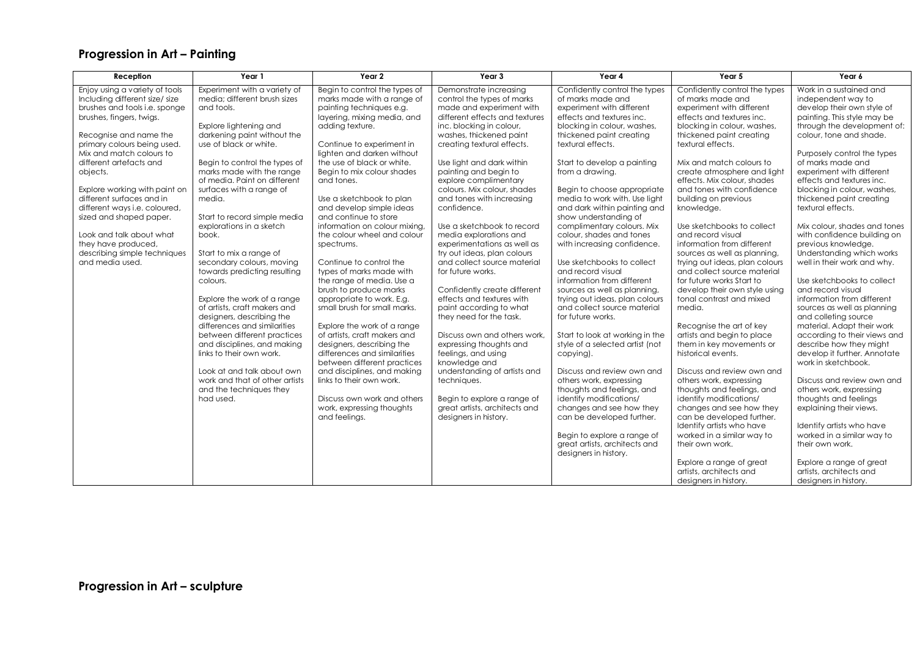## **Progression in Art – Painting**

| Year 1<br>Reception                                                                                                                                                                                                                                                                                                                                                                                                                                                                                                                                                                                                                                                                                                                                                                                                                                                                                                                                                                                                                                                                                                                                                                                                                                                                                   | Year 2                                                                                                                                                                                                                                                                                                                                                                                                                                                                                                                                                                                                                                                                                                                                                                                                                                                                                                                      | Year 3                                                                                                                                                                                                                                                                                                                                                                                                                                                                                                                                                                                                                                                                                                                                                                                                                                                                                                    | Year 4                                                                                                                                                                                                                                                                                                                                                                                                                                                                                                                                                                                                                                                                                                                                                                                                                                                                                                                                                                                                                         | Year 5                                                                                                                                                                                                                                                                                                                                                                                                                                                                                                                                                                                                                                                                                                                                                                                                                                                                                                                                                                                                                                                                      | Year 6                                                                                                                                                                                                                                                                                                                                                                                                                                                                                                                                                                                                                                                                                                                                                                                                                                                                                                                                                                                                                                                         |
|-------------------------------------------------------------------------------------------------------------------------------------------------------------------------------------------------------------------------------------------------------------------------------------------------------------------------------------------------------------------------------------------------------------------------------------------------------------------------------------------------------------------------------------------------------------------------------------------------------------------------------------------------------------------------------------------------------------------------------------------------------------------------------------------------------------------------------------------------------------------------------------------------------------------------------------------------------------------------------------------------------------------------------------------------------------------------------------------------------------------------------------------------------------------------------------------------------------------------------------------------------------------------------------------------------|-----------------------------------------------------------------------------------------------------------------------------------------------------------------------------------------------------------------------------------------------------------------------------------------------------------------------------------------------------------------------------------------------------------------------------------------------------------------------------------------------------------------------------------------------------------------------------------------------------------------------------------------------------------------------------------------------------------------------------------------------------------------------------------------------------------------------------------------------------------------------------------------------------------------------------|-----------------------------------------------------------------------------------------------------------------------------------------------------------------------------------------------------------------------------------------------------------------------------------------------------------------------------------------------------------------------------------------------------------------------------------------------------------------------------------------------------------------------------------------------------------------------------------------------------------------------------------------------------------------------------------------------------------------------------------------------------------------------------------------------------------------------------------------------------------------------------------------------------------|--------------------------------------------------------------------------------------------------------------------------------------------------------------------------------------------------------------------------------------------------------------------------------------------------------------------------------------------------------------------------------------------------------------------------------------------------------------------------------------------------------------------------------------------------------------------------------------------------------------------------------------------------------------------------------------------------------------------------------------------------------------------------------------------------------------------------------------------------------------------------------------------------------------------------------------------------------------------------------------------------------------------------------|-----------------------------------------------------------------------------------------------------------------------------------------------------------------------------------------------------------------------------------------------------------------------------------------------------------------------------------------------------------------------------------------------------------------------------------------------------------------------------------------------------------------------------------------------------------------------------------------------------------------------------------------------------------------------------------------------------------------------------------------------------------------------------------------------------------------------------------------------------------------------------------------------------------------------------------------------------------------------------------------------------------------------------------------------------------------------------|----------------------------------------------------------------------------------------------------------------------------------------------------------------------------------------------------------------------------------------------------------------------------------------------------------------------------------------------------------------------------------------------------------------------------------------------------------------------------------------------------------------------------------------------------------------------------------------------------------------------------------------------------------------------------------------------------------------------------------------------------------------------------------------------------------------------------------------------------------------------------------------------------------------------------------------------------------------------------------------------------------------------------------------------------------------|
| Enjoy using a variety of tools<br>Experiment with a variety of<br>Including different size/ size<br>media; different brush sizes<br>brushes and tools i.e. sponge<br>and tools.<br>brushes, fingers, twigs.<br>Explore lightening and<br>Recognise and name the<br>darkening paint without the<br>primary colours being used.<br>use of black or white.<br>Mix and match colours to<br>different artefacts and<br>Begin to control the types of<br>marks made with the range<br>objects.<br>of media. Paint on different<br>Explore working with paint on<br>surfaces with a range of<br>different surfaces and in<br>media.<br>different ways i.e. coloured,<br>sized and shaped paper.<br>Start to record simple media<br>explorations in a sketch<br>Look and talk about what<br>book.<br>they have produced,<br>describing simple techniques<br>Start to mix a range of<br>and media used.<br>secondary colours, moving<br>towards predicting resulting<br>colours.<br>Explore the work of a range<br>of artists, craft makers and<br>designers, describing the<br>differences and similarities<br>between different practices<br>and disciplines, and making<br>links to their own work.<br>Look at and talk about own<br>work and that of other artists<br>and the techniques they<br>had used. | Begin to control the types of<br>marks made with a range of<br>painting techniques e.g.<br>layering, mixing media, and<br>adding texture.<br>Continue to experiment in<br>lighten and darken without<br>the use of black or white.<br>Begin to mix colour shades<br>and tones.<br>Use a sketchbook to plan<br>and develop simple ideas<br>and continue to store<br>information on colour mixina.<br>the colour wheel and colour<br>spectrums.<br>Continue to control the<br>types of marks made with<br>the range of media. Use a<br>brush to produce marks<br>appropriate to work. E.g.<br>small brush for small marks.<br>Explore the work of a range<br>of artists, craft makers and<br>designers, describing the<br>differences and similarities<br>between different practices<br>and disciplines, and making<br>links to their own work.<br>Discuss own work and others<br>work, expressing thoughts<br>and feelings. | Demonstrate increasing<br>control the types of marks<br>made and experiment with<br>different effects and textures<br>inc. blocking in colour,<br>washes, thickened paint<br>creating textural effects.<br>Use light and dark within<br>painting and begin to<br>explore complimentary<br>colours. Mix colour, shades<br>and tones with increasing<br>confidence.<br>Use a sketchbook to record<br>media explorations and<br>experimentations as well as<br>try out ideas, plan colours<br>and collect source material<br>for future works.<br>Confidently create different<br>effects and textures with<br>paint according to what<br>they need for the task.<br>Discuss own and others work.<br>expressing thoughts and<br>feelings, and using<br>knowledge and<br>understanding of artists and<br>techniques.<br>Begin to explore a range of<br>great artists, architects and<br>designers in history. | Confidently control the types<br>of marks made and<br>experiment with different<br>effects and textures inc.<br>blocking in colour, washes,<br>thickened paint creating<br>textural effects.<br>Start to develop a painting<br>from a drawing.<br>Begin to choose appropriate<br>media to work with. Use light<br>and dark within painting and<br>show understanding of<br>complimentary colours. Mix<br>colour, shades and tones<br>with increasing confidence.<br>Use sketchbooks to collect<br>and record visual<br>information from different<br>sources as well as planning,<br>trying out ideas, plan colours<br>and collect source material<br>for future works.<br>Start to look at working in the<br>style of a selected artist (not<br>copying).<br>Discuss and review own and<br>others work, expressing<br>thoughts and feelings, and<br>identify modifications/<br>changes and see how they<br>can be developed further.<br>Begin to explore a range of<br>great artists, architects and<br>designers in history. | Confidently control the types<br>of marks made and<br>experiment with different<br>effects and textures inc.<br>blocking in colour, washes,<br>thickened paint creating<br>textural effects.<br>Mix and match colours to<br>create atmosphere and light<br>effects. Mix colour, shades<br>and tones with confidence<br>building on previous<br>knowledge.<br>Use sketchbooks to collect<br>and record visual<br>information from different<br>sources as well as planning,<br>trying out ideas, plan colours<br>and collect source material<br>for future works Start to<br>develop their own style using<br>tonal contrast and mixed<br>media.<br>Recognise the art of key<br>artists and begin to place<br>them in key movements or<br>historical events.<br>Discuss and review own and<br>others work, expressing<br>thoughts and feelings, and<br>identify modifications/<br>changes and see how they<br>can be developed further.<br>Identify artists who have<br>worked in a similar way to<br>their own work.<br>Explore a range of great<br>artists, architects and | Work in a sustained and<br>independent way to<br>develop their own style of<br>painting. This style may be<br>through the development of:<br>colour, tone and shade.<br>Purposely control the types<br>of marks made and<br>experiment with different<br>effects and textures inc.<br>blocking in colour, washes,<br>thickened paint creating<br>textural effects.<br>Mix colour, shades and tones<br>with confidence building on<br>previous knowledge.<br>Understanding which works<br>well in their work and why.<br>Use sketchbooks to collect<br>and record visual<br>information from different<br>sources as well as planning<br>and colleting source<br>material. Adapt their work<br>according to their views and<br>describe how they might<br>develop it further. Annotate<br>work in sketchbook.<br>Discuss and review own and<br>others work, expressing<br>thoughts and feelings<br>explaining their views.<br>Identify artists who have<br>worked in a similar way to<br>their own work.<br>Explore a range of great<br>artists, architects and |
|                                                                                                                                                                                                                                                                                                                                                                                                                                                                                                                                                                                                                                                                                                                                                                                                                                                                                                                                                                                                                                                                                                                                                                                                                                                                                                       |                                                                                                                                                                                                                                                                                                                                                                                                                                                                                                                                                                                                                                                                                                                                                                                                                                                                                                                             |                                                                                                                                                                                                                                                                                                                                                                                                                                                                                                                                                                                                                                                                                                                                                                                                                                                                                                           |                                                                                                                                                                                                                                                                                                                                                                                                                                                                                                                                                                                                                                                                                                                                                                                                                                                                                                                                                                                                                                | designers in history.                                                                                                                                                                                                                                                                                                                                                                                                                                                                                                                                                                                                                                                                                                                                                                                                                                                                                                                                                                                                                                                       | designers in history.                                                                                                                                                                                                                                                                                                                                                                                                                                                                                                                                                                                                                                                                                                                                                                                                                                                                                                                                                                                                                                          |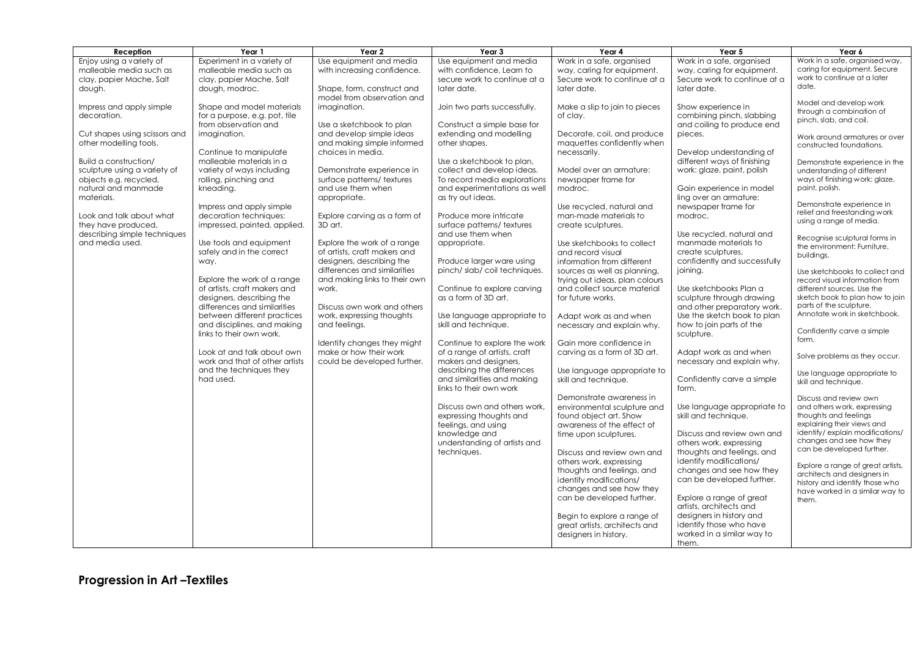| Reception                                                                                                            | Year 1                                                                                                                  | Year 2                                                                                                             | Year <sub>3</sub>                                                                                                       | Year 4                                                                                                       | Year 5                                                                                                              | Year 6                                                                                                          |
|----------------------------------------------------------------------------------------------------------------------|-------------------------------------------------------------------------------------------------------------------------|--------------------------------------------------------------------------------------------------------------------|-------------------------------------------------------------------------------------------------------------------------|--------------------------------------------------------------------------------------------------------------|---------------------------------------------------------------------------------------------------------------------|-----------------------------------------------------------------------------------------------------------------|
| Enjoy using a variety of<br>malleable media such as<br>clay, papier Mache, Salt<br>dough.                            | Experiment in a variety of<br>malleable media such as<br>clay, papier Mache, Salt<br>dough, modroc.                     | Use equipment and media<br>with increasing confidence.<br>Shape, form, construct and<br>model from observation and | Use equipment and media<br>with confidence. Learn to<br>secure work to continue at a<br>later date.                     | Work in a safe, organised<br>way, caring for equipment.<br>Secure work to continue at a<br>later date.       | Work in a safe, organised<br>way, caring for equipment.<br>Secure work to continue at a<br>later date.              | Work in a safe, organised way,<br>caring for equipment. Secure<br>work to continue at a later<br>date.          |
| Impress and apply simple<br>decoration.                                                                              | Shape and model materials<br>for a purpose, e.g. pot, tile<br>from observation and                                      | imagination.<br>Use a sketchbook to plan                                                                           | Join two parts successfully.<br>Construct a simple base for                                                             | Make a slip to join to pieces<br>of clay.                                                                    | Show experience in<br>combining pinch, slabbing<br>and coiling to produce end                                       | Model and develop work<br>through a combination of<br>pinch, slab, and coil.                                    |
| Cut shapes using scissors and<br>other modelling tools.                                                              | imagination.<br>Continue to manipulate                                                                                  | and develop simple ideas<br>and making simple informed<br>choices in media.                                        | extending and modelling<br>other shapes.                                                                                | Decorate, coil, and produce<br>maquettes confidently when<br>necessarily.                                    | pieces.<br>Develop understanding of                                                                                 | Work around armatures or over<br>constructed foundations.                                                       |
| Build a construction/<br>sculpture using a variety of<br>objects e.g. recycled,<br>natural and manmade<br>materials. | malleable materials in a<br>variety of ways including<br>rolling, pinching and<br>kneading.                             | Demonstrate experience in<br>surface patterns/textures<br>and use them when                                        | Use a sketchbook to plan,<br>collect and develop ideas.<br>To record media explorations<br>and experimentations as well | Model over an armature:<br>newspaper frame for<br>modroc.                                                    | different ways of finishing<br>work: glaze, paint, polish<br>Gain experience in model                               | Demonstrate experience in the<br>understanding of different<br>ways of finishing work: glaze,<br>paint, polish. |
| Look and talk about what<br>they have produced,<br>describing simple techniques                                      | Impress and apply simple<br>decoration techniques:<br>impressed, painted, applied.                                      | appropriate.<br>Explore carving as a form of<br>3D art.                                                            | as try out ideas.<br>Produce more intricate<br>surface patterns/textures<br>and use them when                           | Use recycled, natural and<br>man-made materials to<br>create sculptures.                                     | ling over an armature:<br>newspaper frame for<br>modroc.<br>Use recycled, natural and                               | Demonstrate experience in<br>relief and freestanding work<br>using a range of media.                            |
| and media used.                                                                                                      | Use tools and equipment<br>safely and in the correct<br>way.                                                            | Explore the work of a range<br>of artists, craft makers and<br>designers, describing the                           | appropriate.<br>Produce larger ware using                                                                               | Use sketchbooks to collect<br>and record visual<br>information from different                                | manmade materials to<br>create sculptures.<br>confidently and successfully                                          | Recognise sculptural forms in<br>the environment: Furniture,<br>buildings.                                      |
|                                                                                                                      | Explore the work of a range<br>of artists, craft makers and                                                             | differences and similarities<br>and making links to their own<br>work.                                             | pinch/slab/coil techniques.<br>Continue to explore carving                                                              | sources as well as planning,<br>trying out ideas, plan colours<br>and collect source material                | joining.<br>Use sketchbooks Plan a                                                                                  | Use sketchbooks to collect and<br>record visual information from<br>different sources. Use the                  |
|                                                                                                                      | designers, describing the<br>differences and similarities<br>between different practices<br>and disciplines, and making | Discuss own work and others<br>work, expressing thoughts<br>and feelings.                                          | as a form of 3D art.<br>Use language appropriate to<br>skill and technique.                                             | for future works.<br>Adapt work as and when<br>necessary and explain why.                                    | sculpture through drawing<br>and other preparatory work.<br>Use the sketch book to plan<br>how to join parts of the | sketch book to plan how to join<br>parts of the sculpture.<br>Annotate work in sketchbook.                      |
|                                                                                                                      | links to their own work.<br>Look at and talk about own                                                                  | Identify changes they might<br>make or how their work                                                              | Continue to explore the work<br>of a range of artists, craft                                                            | Gain more confidence in<br>carving as a form of 3D art.                                                      | sculpture.<br>Adapt work as and when                                                                                | Confidently carve a simple<br>form.                                                                             |
|                                                                                                                      | work and that of other artists<br>and the techniques they<br>had used.                                                  | could be developed further.                                                                                        | makers and designers,<br>describing the differences<br>and similarities and making                                      | Use language appropriate to                                                                                  | necessary and explain why.<br>Confidently carve a simple                                                            | Solve problems as they occur.<br>Use language appropriate to                                                    |
|                                                                                                                      |                                                                                                                         |                                                                                                                    | links to their own work                                                                                                 | skill and technique.<br>Demonstrate awareness in                                                             | form.                                                                                                               | skill and technique.<br>Discuss and review own                                                                  |
|                                                                                                                      |                                                                                                                         |                                                                                                                    | Discuss own and others work,<br>expressing thoughts and<br>feelings, and using                                          | environmental sculpture and<br>found object art. Show<br>awareness of the effect of                          | Use language appropriate to<br>skill and technique.                                                                 | and others work, expressing<br>thoughts and feelings<br>explaining their views and                              |
|                                                                                                                      |                                                                                                                         |                                                                                                                    | knowledge and<br>understanding of artists and<br>techniques.                                                            | time upon sculptures.<br>Discuss and review own and                                                          | Discuss and review own and<br>others work, expressing<br>thoughts and feelings, and                                 | identify/explain modifications/<br>changes and see how they<br>can be developed further.                        |
|                                                                                                                      |                                                                                                                         |                                                                                                                    |                                                                                                                         | others work, expressing<br>thoughts and feelings, and<br>identify modifications/<br>changes and see how they | identify modifications/<br>changes and see how they<br>can be developed further.                                    | Explore a range of great artists,<br>architects and designers in<br>history and identify those who              |
|                                                                                                                      |                                                                                                                         |                                                                                                                    |                                                                                                                         | can be developed further.<br>Begin to explore a range of                                                     | Explore a range of great<br>artists, architects and<br>designers in history and                                     | have worked in a similar way to<br>them.                                                                        |
|                                                                                                                      |                                                                                                                         |                                                                                                                    |                                                                                                                         | great artists, architects and<br>designers in history.                                                       | identify those who have<br>worked in a similar way to<br>them.                                                      |                                                                                                                 |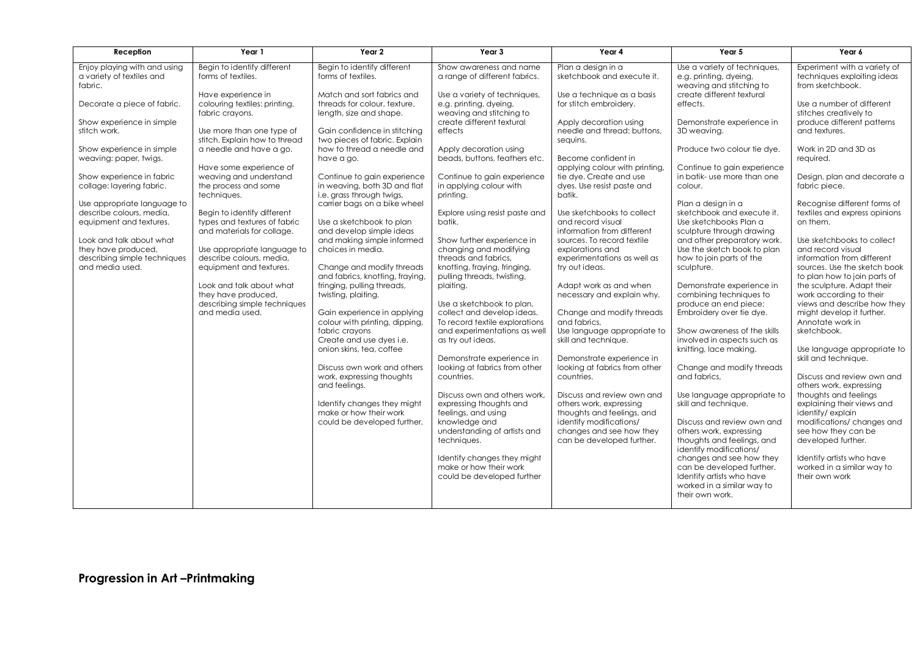| Reception                                                                          | Year 1                                                                                | Year 2                                                                                     | Year 3                                                                              | Year 4                                                                                                      | Year 5                                                                                                              | Year 6                                                                                     |
|------------------------------------------------------------------------------------|---------------------------------------------------------------------------------------|--------------------------------------------------------------------------------------------|-------------------------------------------------------------------------------------|-------------------------------------------------------------------------------------------------------------|---------------------------------------------------------------------------------------------------------------------|--------------------------------------------------------------------------------------------|
| Enjoy playing with and using<br>a variety of textiles and<br>fabric.               | Begin to identify different<br>forms of textiles.                                     | Begin to identify different<br>forms of textiles.                                          | Show awareness and name<br>a range of different fabrics.                            | Plan a design in a<br>sketchbook and execute it.                                                            | Use a variety of techniques,<br>e.g. printing, dyeing,<br>weaving and stitching to                                  | Experiment with a variety of<br>techniques exploiting ideas<br>from sketchbook.            |
| Decorate a piece of fabric.                                                        | Have experience in<br>colouring textiles: printing,<br>fabric crayons.                | Match and sort fabrics and<br>threads for colour, texture,<br>length, size and shape.      | Use a variety of techniques,<br>e.g. printing, dyeing,<br>weaving and stitching to  | Use a technique as a basis<br>for stitch embroidery.                                                        | create different textural<br>effects.                                                                               | Use a number of different<br>stitches creatively to                                        |
| Show experience in simple<br>stitch work.                                          | Use more than one type of<br>stitch. Explain how to thread                            | Gain confidence in stitching<br>two pieces of fabric. Explain                              | create different textural<br>effects                                                | Apply decoration using<br>needle and thread: buttons.<br>sequins.                                           | Demonstrate experience in<br>3D weaving.                                                                            | produce different patterns<br>and textures.                                                |
| Show experience in simple<br>weaving: paper, twigs.                                | a needle and have a go.<br>Have some experience of                                    | how to thread a needle and<br>have a go.                                                   | Apply decoration using<br>beads, buttons, feathers etc.                             | Become confident in<br>applying colour with printing,                                                       | Produce two colour tie dye.<br>Continue to gain experience                                                          | Work in 2D and 3D as<br>required.                                                          |
| Show experience in fabric<br>collage: layering fabric.                             | weaving and understand<br>the process and some<br>techniques.                         | Continue to gain experience<br>in weaving, both 3D and flat<br>i.e. grass through twigs,   | Continue to gain experience<br>in applying colour with<br>printing.                 | tie dye. Create and use<br>dyes. Use resist paste and<br>batik.                                             | in batik- use more than one<br>colour.                                                                              | Design, plan and decorate a<br>fabric piece.                                               |
| Use appropriate language to<br>describe colours, media.<br>equipment and textures. | Begin to identify different<br>types and textures of fabric                           | carrier bags on a bike wheel<br>Use a sketchbook to plan                                   | Explore using resist paste and<br>batik.                                            | Use sketchbooks to collect<br>and record visual                                                             | Plan a design in a<br>sketchbook and execute it.<br>Use sketchbooks Plan a                                          | Recognise different forms of<br>textiles and express opinions<br>on them.                  |
| Look and talk about what<br>they have produced,<br>describing simple techniques    | and materials for collage.<br>Use appropriate language to<br>describe colours, media, | and develop simple ideas<br>and making simple informed<br>choices in media.                | Show further experience in<br>changing and modifying<br>threads and fabrics,        | information from different<br>sources. To record textile<br>explorations and<br>experimentations as well as | sculpture through drawing<br>and other preparatory work.<br>Use the sketch book to plan<br>how to join parts of the | Use sketchbooks to collect<br>and record visual<br>information from different              |
| and media used.                                                                    | equipment and textures.<br>Look and talk about what                                   | Change and modify threads<br>and fabrics, knotting, fraying,<br>fringing, pulling threads, | knotting, fraying, fringing,<br>pulling threads, twisting,<br>plaiting.             | try out ideas.<br>Adapt work as and when                                                                    | sculpture.<br>Demonstrate experience in                                                                             | sources. Use the sketch book<br>to plan how to join parts of<br>the sculpture. Adapt their |
|                                                                                    | they have produced.<br>describing simple techniques<br>and media used.                | twisting, plaiting.<br>Gain experience in applying                                         | Use a sketchbook to plan,<br>collect and develop ideas.                             | necessary and explain why.<br>Change and modify threads                                                     | combining techniques to<br>produce an end piece:<br>Embroidery over tie dye.                                        | work accordina to their<br>views and describe how they<br>might develop it further.        |
|                                                                                    |                                                                                       | colour with printing, dipping,<br>fabric crayons<br>Create and use dyes i.e.               | To record textile explorations<br>and experimentations as well<br>as try out ideas. | and fabrics.<br>Use language appropriate to<br>skill and technique.                                         | Show awareness of the skills<br>involved in aspects such as                                                         | Annotate work in<br>sketchbook.                                                            |
|                                                                                    |                                                                                       | onion skins, tea, coffee                                                                   | Demonstrate experience in<br>looking at fabrics from other                          | Demonstrate experience in<br>looking at fabrics from other                                                  | knitting, lace making.<br>Change and modify threads                                                                 | Use language appropriate to<br>skill and technique.                                        |
|                                                                                    |                                                                                       | Discuss own work and others<br>work, expressing thoughts<br>and feelings.                  | countries.                                                                          | countries.<br>Discuss and review own and                                                                    | and fabrics.                                                                                                        | Discuss and review own and<br>others work, expressing                                      |
|                                                                                    |                                                                                       | Identify changes they might<br>make or how their work                                      | Discuss own and others work.<br>expressing thoughts and<br>feelings, and using      | others work, expressing<br>thoughts and feelings, and                                                       | Use language appropriate to<br>skill and technique.                                                                 | thoughts and feelings<br>explaining their views and<br>identify/explain                    |
|                                                                                    |                                                                                       | could be developed further.                                                                | knowledge and<br>understanding of artists and<br>techniques.                        | identify modifications/<br>changes and see how they<br>can be developed further.                            | Discuss and review own and<br>others work, expressing<br>thoughts and feelings, and<br>identify modifications/      | modifications/ changes and<br>see how they can be<br>developed further.                    |
|                                                                                    |                                                                                       |                                                                                            | Identify changes they might<br>make or how their work<br>could be developed further |                                                                                                             | changes and see how they<br>can be developed further.<br>Identify artists who have<br>worked in a similar way to    | Identify artists who have<br>worked in a similar way to<br>their own work                  |
|                                                                                    |                                                                                       |                                                                                            |                                                                                     |                                                                                                             | their own work.                                                                                                     |                                                                                            |